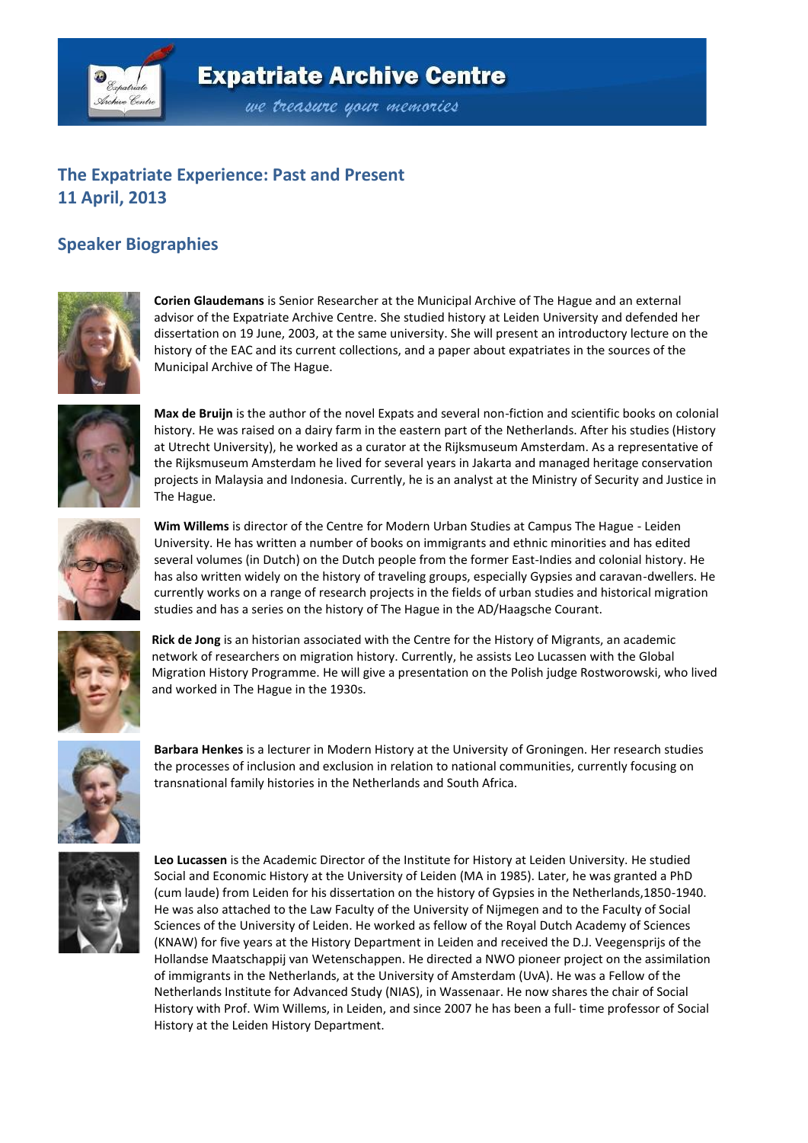

## **Expatriate Archive Centre**

we treasure your memories

## **The Expatriate Experience: Past and Present 11 April, 2013**

## **Speaker Biographies**



**Corien Glaudemans** is Senior Researcher at the Municipal Archive of The Hague and an external advisor of the Expatriate Archive Centre. She studied history at Leiden University and defended her dissertation on 19 June, 2003, at the same university. She will present an introductory lecture on the history of the EAC and its current collections, and a paper about expatriates in the sources of the Municipal Archive of The Hague.



**Max de Bruijn** is the author of the novel Expats and several non-fiction and scientific books on colonial history. He was raised on a dairy farm in the eastern part of the Netherlands. After his studies (History at Utrecht University), he worked as a curator at the Rijksmuseum Amsterdam. As a representative of the Rijksmuseum Amsterdam he lived for several years in Jakarta and managed heritage conservation projects in Malaysia and Indonesia. Currently, he is an analyst at the Ministry of Security and Justice in The Hague.



**Wim Willems** is director of the Centre for Modern Urban Studies at Campus The Hague - Leiden University. He has written a number of books on immigrants and ethnic minorities and has edited several volumes (in Dutch) on the Dutch people from the former East-Indies and colonial history. He has also written widely on the history of traveling groups, especially Gypsies and caravan-dwellers. He currently works on a range of research projects in the fields of urban studies and historical migration studies and has a series on the history of The Hague in the AD/Haagsche Courant.



**Rick de Jong** is an historian associated with the Centre for the History of Migrants, an academic network of researchers on migration history. Currently, he assists Leo Lucassen with the Global Migration History Programme. He will give a presentation on the Polish judge Rostworowski, who lived and worked in The Hague in the 1930s.



**Barbara Henkes** is a lecturer in Modern History at the University of Groningen. Her research studies the processes of inclusion and exclusion in relation to national communities, currently focusing on transnational family histories in the Netherlands and South Africa.



**Leo Lucassen** is the Academic Director of the Institute for History at Leiden University. He studied Social and Economic History at the University of Leiden (MA in 1985). Later, he was granted a PhD (cum laude) from Leiden for his dissertation on the history of Gypsies in the Netherlands,1850-1940. He was also attached to the Law Faculty of the University of Nijmegen and to the Faculty of Social Sciences of the University of Leiden. He worked as fellow of the Royal Dutch Academy of Sciences (KNAW) for five years at the History Department in Leiden and received the D.J. Veegensprijs of the Hollandse Maatschappij van Wetenschappen. He directed a NWO pioneer project on the assimilation of immigrants in the Netherlands, at the University of Amsterdam (UvA). He was a Fellow of the Netherlands Institute for Advanced Study (NIAS), in Wassenaar. He now shares the chair of Social History with Prof. Wim Willems, in Leiden, and since 2007 he has been a full- time professor of Social History at the Leiden History Department.